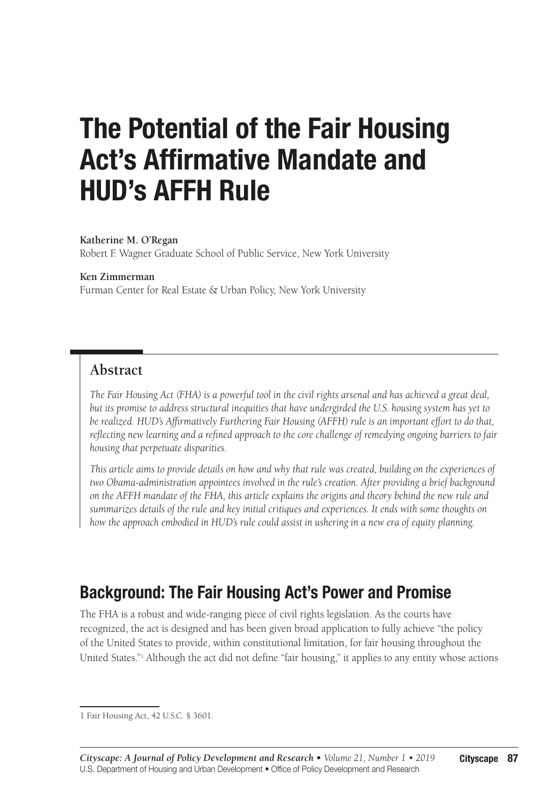# The Potential of the Fair Housing Act's Affirmative Mandate and HUD's AFFH Rule

#### **Katherine M. O'Regan**

Robert F. Wagner Graduate School of Public Service, New York University

#### **Ken Zimmerman**

Furman Center for Real Estate & Urban Policy, New York University

#### **Abstract**

*The Fair Housing Act (FHA) is a powerful tool in the civil rights arsenal and has achieved a great deal, but its promise to address structural inequities that have undergirded the U.S. housing system has yet to be realized. HUD's Affirmatively Furthering Fair Housing (AFFH) rule is an important effort to do that, reflecting new learning and a refined approach to the core challenge of remedying ongoing barriers to fair housing that perpetuate disparities.*

*This article aims to provide details on how and why that rule was created, building on the experiences of two Obama-administration appointees involved in the rule's creation. After providing a brief background on the AFFH mandate of the FHA, this article explains the origins and theory behind the new rule and summarizes details of the rule and key initial critiques and experiences. It ends with some thoughts on how the approach embodied in HUD's rule could assist in ushering in a new era of equity planning.*

### Background: The Fair Housing Act's Power and Promise

The FHA is a robust and wide-ranging piece of civil rights legislation. As the courts have recognized, the act is designed and has been given broad application to fully achieve "the policy of the United States to provide, within constitutional limitation, for fair housing throughout the United States."1 Although the act did not define "fair housing," it applies to any entity whose actions

<sup>1</sup> Fair Housing Act, 42 U.S.C. § 3601.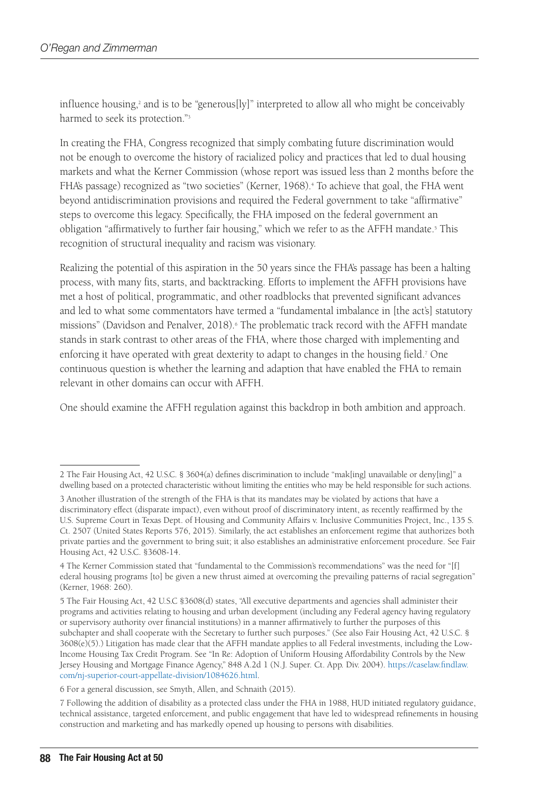influence housing,<sup>2</sup> and is to be "generous[ly]" interpreted to allow all who might be conceivably harmed to seek its protection."3

In creating the FHA, Congress recognized that simply combating future discrimination would not be enough to overcome the history of racialized policy and practices that led to dual housing markets and what the Kerner Commission (whose report was issued less than 2 months before the FHA's passage) recognized as "two societies" (Kerner, 1968).4 To achieve that goal, the FHA went beyond antidiscrimination provisions and required the Federal government to take "affirmative" steps to overcome this legacy. Specifically, the FHA imposed on the federal government an obligation "affirmatively to further fair housing," which we refer to as the AFFH mandate.<sup>5</sup> This recognition of structural inequality and racism was visionary.

Realizing the potential of this aspiration in the 50 years since the FHA's passage has been a halting process, with many fits, starts, and backtracking. Efforts to implement the AFFH provisions have met a host of political, programmatic, and other roadblocks that prevented significant advances and led to what some commentators have termed a "fundamental imbalance in [the act's] statutory missions" (Davidson and Penalver, 2018).<sup>6</sup> The problematic track record with the AFFH mandate stands in stark contrast to other areas of the FHA, where those charged with implementing and enforcing it have operated with great dexterity to adapt to changes in the housing field.<sup>7</sup> One continuous question is whether the learning and adaption that have enabled the FHA to remain relevant in other domains can occur with AFFH.

One should examine the AFFH regulation against this backdrop in both ambition and approach.

<sup>2</sup> The Fair Housing Act, 42 U.S.C. § 3604(a) defines discrimination to include "mak[ing] unavailable or deny[ing]" a dwelling based on a protected characteristic without limiting the entities who may be held responsible for such actions.

<sup>3</sup> Another illustration of the strength of the FHA is that its mandates may be violated by actions that have a discriminatory effect (disparate impact), even without proof of discriminatory intent, as recently reaffirmed by the U.S. Supreme Court in Texas Dept. of Housing and Community Affairs v. Inclusive Communities Project, Inc., 135 S. Ct. 2507 (United States Reports 576, 2015). Similarly, the act establishes an enforcement regime that authorizes both private parties and the government to bring suit; it also establishes an administrative enforcement procedure. See Fair Housing Act, 42 U.S.C. §3608-14.

<sup>4</sup> The Kerner Commission stated that "fundamental to the Commission's recommendations" was the need for "[f] ederal housing programs [to] be given a new thrust aimed at overcoming the prevailing patterns of racial segregation" (Kerner, 1968: 260).

<sup>5</sup> The Fair Housing Act, 42 U.S.C §3608(d) states, "All executive departments and agencies shall administer their programs and activities relating to housing and urban development (including any Federal agency having regulatory or supervisory authority over financial institutions) in a manner affirmatively to further the purposes of this subchapter and shall cooperate with the Secretary to further such purposes." (See also Fair Housing Act, 42 U.S.C. § 3608(e)(5).) Litigation has made clear that the AFFH mandate applies to all Federal investments, including the Low-Income Housing Tax Credit Program. See "In Re: Adoption of Uniform Housing Affordability Controls by the New Jersey Housing and Mortgage Finance Agency," 848 A.2d 1 (N.J. Super. Ct. App. Div. 2004). [https://caselaw.findlaw.](https://caselaw.findlaw.com/nj-superior-court-appellate-division/1084626.html) [com/nj-superior-court-appellate-division/1084626.html.](https://caselaw.findlaw.com/nj-superior-court-appellate-division/1084626.html)

<sup>6</sup> For a general discussion, see Smyth, Allen, and Schnaith (2015).

<sup>7</sup> Following the addition of disability as a protected class under the FHA in 1988, HUD initiated regulatory guidance, technical assistance, targeted enforcement, and public engagement that have led to widespread refinements in housing construction and marketing and has markedly opened up housing to persons with disabilities.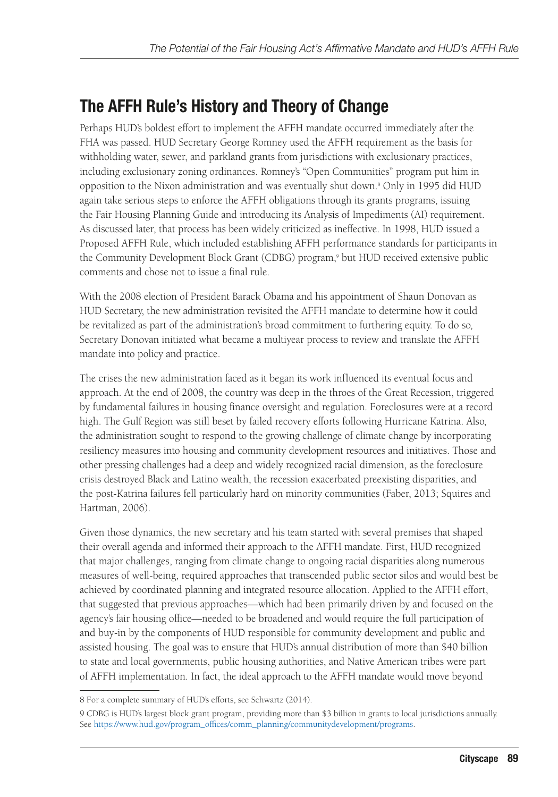### The AFFH Rule's History and Theory of Change

Perhaps HUD's boldest effort to implement the AFFH mandate occurred immediately after the FHA was passed. HUD Secretary George Romney used the AFFH requirement as the basis for withholding water, sewer, and parkland grants from jurisdictions with exclusionary practices, including exclusionary zoning ordinances. Romney's "Open Communities" program put him in opposition to the Nixon administration and was eventually shut down.8 Only in 1995 did HUD again take serious steps to enforce the AFFH obligations through its grants programs, issuing the Fair Housing Planning Guide and introducing its Analysis of Impediments (AI) requirement. As discussed later, that process has been widely criticized as ineffective. In 1998, HUD issued a Proposed AFFH Rule, which included establishing AFFH performance standards for participants in the Community Development Block Grant (CDBG) program,<sup>9</sup> but HUD received extensive public comments and chose not to issue a final rule.

With the 2008 election of President Barack Obama and his appointment of Shaun Donovan as HUD Secretary, the new administration revisited the AFFH mandate to determine how it could be revitalized as part of the administration's broad commitment to furthering equity. To do so, Secretary Donovan initiated what became a multiyear process to review and translate the AFFH mandate into policy and practice.

The crises the new administration faced as it began its work influenced its eventual focus and approach. At the end of 2008, the country was deep in the throes of the Great Recession, triggered by fundamental failures in housing finance oversight and regulation. Foreclosures were at a record high. The Gulf Region was still beset by failed recovery efforts following Hurricane Katrina. Also, the administration sought to respond to the growing challenge of climate change by incorporating resiliency measures into housing and community development resources and initiatives. Those and other pressing challenges had a deep and widely recognized racial dimension, as the foreclosure crisis destroyed Black and Latino wealth, the recession exacerbated preexisting disparities, and the post-Katrina failures fell particularly hard on minority communities (Faber, 2013; Squires and Hartman, 2006).

Given those dynamics, the new secretary and his team started with several premises that shaped their overall agenda and informed their approach to the AFFH mandate. First, HUD recognized that major challenges, ranging from climate change to ongoing racial disparities along numerous measures of well-being, required approaches that transcended public sector silos and would best be achieved by coordinated planning and integrated resource allocation. Applied to the AFFH effort, that suggested that previous approaches—which had been primarily driven by and focused on the agency's fair housing office—needed to be broadened and would require the full participation of and buy-in by the components of HUD responsible for community development and public and assisted housing. The goal was to ensure that HUD's annual distribution of more than \$40 billion to state and local governments, public housing authorities, and Native American tribes were part of AFFH implementation. In fact, the ideal approach to the AFFH mandate would move beyond

<sup>8</sup> For a complete summary of HUD's efforts, see Schwartz (2014).

<sup>9</sup> CDBG is HUD's largest block grant program, providing more than \$3 billion in grants to local jurisdictions annually. See [https://www.hud.gov/program\\_offices/comm\\_planning/communitydevelopment/programs](https://www.hud.gov/program_offices/comm_planning/communitydevelopment/programs).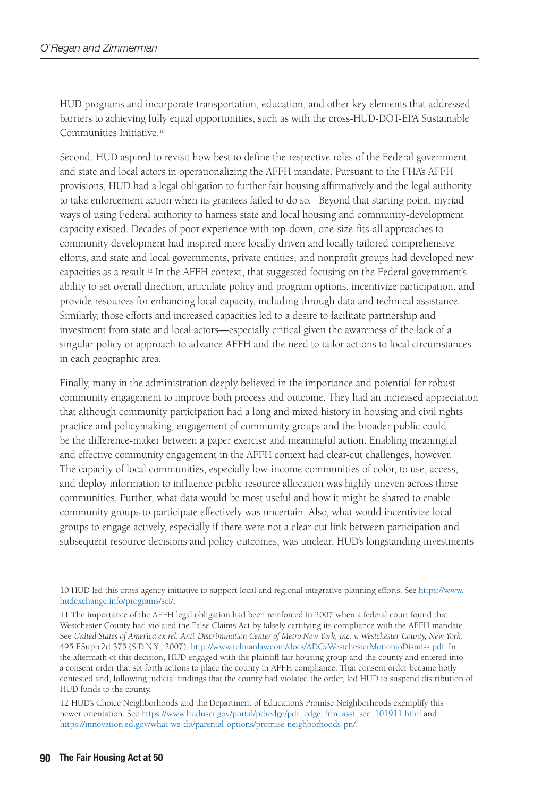HUD programs and incorporate transportation, education, and other key elements that addressed barriers to achieving fully equal opportunities, such as with the cross-HUD-DOT-EPA Sustainable Communities Initiative.10

Second, HUD aspired to revisit how best to define the respective roles of the Federal government and state and local actors in operationalizing the AFFH mandate. Pursuant to the FHA's AFFH provisions, HUD had a legal obligation to further fair housing affirmatively and the legal authority to take enforcement action when its grantees failed to do so.<sup>11</sup> Beyond that starting point, myriad ways of using Federal authority to harness state and local housing and community-development capacity existed. Decades of poor experience with top-down, one-size-fits-all approaches to community development had inspired more locally driven and locally tailored comprehensive efforts, and state and local governments, private entities, and nonprofit groups had developed new capacities as a result.12 In the AFFH context, that suggested focusing on the Federal government's ability to set overall direction, articulate policy and program options, incentivize participation, and provide resources for enhancing local capacity, including through data and technical assistance. Similarly, those efforts and increased capacities led to a desire to facilitate partnership and investment from state and local actors—especially critical given the awareness of the lack of a singular policy or approach to advance AFFH and the need to tailor actions to local circumstances in each geographic area.

Finally, many in the administration deeply believed in the importance and potential for robust community engagement to improve both process and outcome. They had an increased appreciation that although community participation had a long and mixed history in housing and civil rights practice and policymaking, engagement of community groups and the broader public could be the difference-maker between a paper exercise and meaningful action. Enabling meaningful and effective community engagement in the AFFH context had clear-cut challenges, however. The capacity of local communities, especially low-income communities of color, to use, access, and deploy information to influence public resource allocation was highly uneven across those communities. Further, what data would be most useful and how it might be shared to enable community groups to participate effectively was uncertain. Also, what would incentivize local groups to engage actively, especially if there were not a clear-cut link between participation and subsequent resource decisions and policy outcomes, was unclear. HUD's longstanding investments

<sup>10</sup> HUD led this cross-agency initiative to support local and regional integrative planning efforts. See [https://www.](https://www.hudexchange.info/programs/sci/) [hudexchange.info/programs/sci/](https://www.hudexchange.info/programs/sci/).

<sup>11</sup> The importance of the AFFH legal obligation had been reinforced in 2007 when a federal court found that Westchester County had violated the False Claims Act by falsely certifying its compliance with the AFFH mandate. See *United States of America ex rel. Anti-Discrimination Center of Metro New York, Inc. v. Westchester County, New York*, 495 F.Supp.2d 375 (S.D.N.Y., 2007). [http://www.relmanlaw.com/docs/ADCvWestchesterMotiontoDismiss.pdf.](http://www.relmanlaw.com/docs/ADCvWestchesterMotiontoDismiss.pdf) In the aftermath of this decision, HUD engaged with the plaintiff fair housing group and the county and entered into a consent order that set forth actions to place the county in AFFH compliance. That consent order became hotly contested and, following judicial findings that the county had violated the order, led HUD to suspend distribution of HUD funds to the county.

<sup>12</sup> HUD's Choice Neighborhoods and the Department of Education's Promise Neighborhoods exemplify this newer orientation. See [https://www.huduser.gov/portal/pdredge/pdr\\_edge\\_frm\\_asst\\_sec\\_101911.html](https://www.huduser.gov/portal/pdredge/pdr_edge_frm_asst_sec_101911.html) and <https://innovation.ed.gov/what-we-do/parental-options/promise-neighborhoods-pn/>.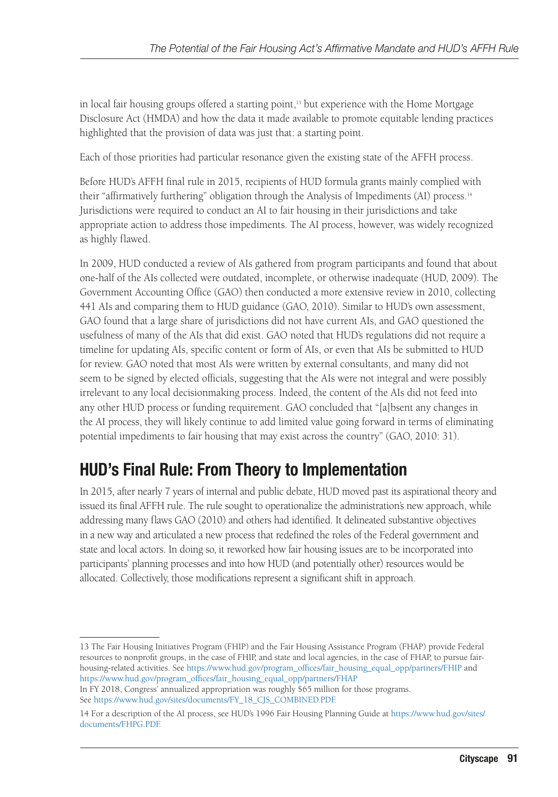in local fair housing groups offered a starting point,<sup>13</sup> but experience with the Home Mortgage Disclosure Act (HMDA) and how the data it made available to promote equitable lending practices highlighted that the provision of data was just that: a starting point.

Each of those priorities had particular resonance given the existing state of the AFFH process.

Before HUD's AFFH final rule in 2015, recipients of HUD formula grants mainly complied with their "affirmatively furthering" obligation through the Analysis of Impediments (AI) process.14 Jurisdictions were required to conduct an AI to fair housing in their jurisdictions and take appropriate action to address those impediments. The AI process, however, was widely recognized as highly flawed.

In 2009, HUD conducted a review of AIs gathered from program participants and found that about one-half of the AIs collected were outdated, incomplete, or otherwise inadequate (HUD, 2009). The Government Accounting Office (GAO) then conducted a more extensive review in 2010, collecting 441 AIs and comparing them to HUD guidance (GAO, 2010). Similar to HUD's own assessment, GAO found that a large share of jurisdictions did not have current AIs, and GAO questioned the usefulness of many of the AIs that did exist. GAO noted that HUD's regulations did not require a timeline for updating AIs, specific content or form of AIs, or even that AIs be submitted to HUD for review. GAO noted that most AIs were written by external consultants, and many did not seem to be signed by elected officials, suggesting that the AIs were not integral and were possibly irrelevant to any local decisionmaking process. Indeed, the content of the AIs did not feed into any other HUD process or funding requirement. GAO concluded that "[a]bsent any changes in the AI process, they will likely continue to add limited value going forward in terms of eliminating potential impediments to fair housing that may exist across the country" (GAO, 2010: 31).

# HUD's Final Rule: From Theory to Implementation

In 2015, after nearly 7 years of internal and public debate, HUD moved past its aspirational theory and issued its final AFFH rule. The rule sought to operationalize the administration's new approach, while addressing many flaws GAO (2010) and others had identified. It delineated substantive objectives in a new way and articulated a new process that redefined the roles of the Federal government and state and local actors. In doing so, it reworked how fair housing issues are to be incorporated into participants' planning processes and into how HUD (and potentially other) resources would be allocated. Collectively, those modifications represent a significant shift in approach.

<sup>13</sup> The Fair Housing Initiatives Program (FHIP) and the Fair Housing Assistance Program (FHAP) provide Federal resources to nonprofit groups, in the case of FHIP, and state and local agencies, in the case of FHAP, to pursue fairhousing-related activities. See [https://www.hud.gov/program\\_offices/fair\\_housing\\_equal\\_opp/partners/FHIP](https://www.hud.gov/program_offices/fair_housing_equal_opp/partners/FHIP) and [https://www.hud.gov/program\\_offices/fair\\_housing\\_equal\\_opp/partners/FHAP](https://www.hud.gov/program_offices/fair_housing_equal_opp/partners/FHAP)

In FY 2018, Congress' annualized appropriation was roughly \$65 million for those programs. See [https://www.hud.gov/sites/documents/FY\\_18\\_CJS\\_COMBINED.PDF.](https://www.hud.gov/sites/documents/FY_18_CJS_COMBINED.PDF)

<sup>14</sup> For a description of the AI process, see HUD's 1996 Fair Housing Planning Guide at [https://www.hud.gov/sites/](https://www.hud.gov/sites/documents/FHPG.PDF) [documents/FHPG.PDF](https://www.hud.gov/sites/documents/FHPG.PDF).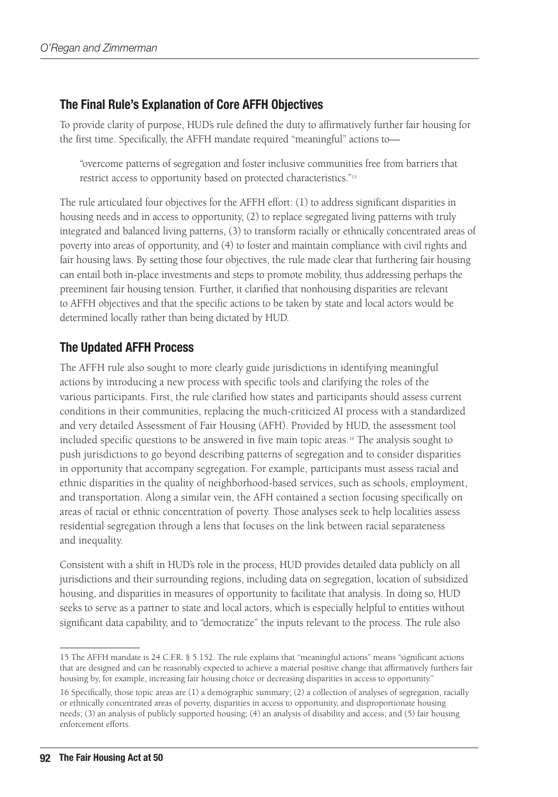#### The Final Rule's Explanation of Core AFFH Objectives

To provide clarity of purpose, HUD's rule defined the duty to affirmatively further fair housing for the first time. Specifically, the AFFH mandate required "meaningful" actions to—

"overcome patterns of segregation and foster inclusive communities free from barriers that restrict access to opportunity based on protected characteristics."15

The rule articulated four objectives for the AFFH effort: (1) to address significant disparities in housing needs and in access to opportunity, (2) to replace segregated living patterns with truly integrated and balanced living patterns, (3) to transform racially or ethnically concentrated areas of poverty into areas of opportunity, and (4) to foster and maintain compliance with civil rights and fair housing laws. By setting those four objectives, the rule made clear that furthering fair housing can entail both in-place investments and steps to promote mobility, thus addressing perhaps the preeminent fair housing tension. Further, it clarified that nonhousing disparities are relevant to AFFH objectives and that the specific actions to be taken by state and local actors would be determined locally rather than being dictated by HUD.

#### The Updated AFFH Process

The AFFH rule also sought to more clearly guide jurisdictions in identifying meaningful actions by introducing a new process with specific tools and clarifying the roles of the various participants. First, the rule clarified how states and participants should assess current conditions in their communities, replacing the much-criticized AI process with a standardized and very detailed Assessment of Fair Housing (AFH). Provided by HUD, the assessment tool included specific questions to be answered in five main topic areas.16 The analysis sought to push jurisdictions to go beyond describing patterns of segregation and to consider disparities in opportunity that accompany segregation. For example, participants must assess racial and ethnic disparities in the quality of neighborhood-based services, such as schools, employment, and transportation. Along a similar vein, the AFH contained a section focusing specifically on areas of racial or ethnic concentration of poverty. Those analyses seek to help localities assess residential segregation through a lens that focuses on the link between racial separateness and inequality.

Consistent with a shift in HUD's role in the process, HUD provides detailed data publicly on all jurisdictions and their surrounding regions, including data on segregation, location of subsidized housing, and disparities in measures of opportunity to facilitate that analysis. In doing so, HUD seeks to serve as a partner to state and local actors, which is especially helpful to entities without significant data capability, and to "democratize" the inputs relevant to the process. The rule also

<sup>15</sup> The AFFH mandate is 24 C.F.R. § 5.152. The rule explains that "meaningful actions" means "significant actions that are designed and can be reasonably expected to achieve a material positive change that affirmatively furthers fair housing by, for example, increasing fair housing choice or decreasing disparities in access to opportunity."

<sup>16</sup> Specifically, those topic areas are (1) a demographic summary; (2) a collection of analyses of segregation, racially or ethnically concentrated areas of poverty, disparities in access to opportunity, and disproportionate housing needs; (3) an analysis of publicly supported housing; (4) an analysis of disability and access; and (5) fair housing enforcement efforts.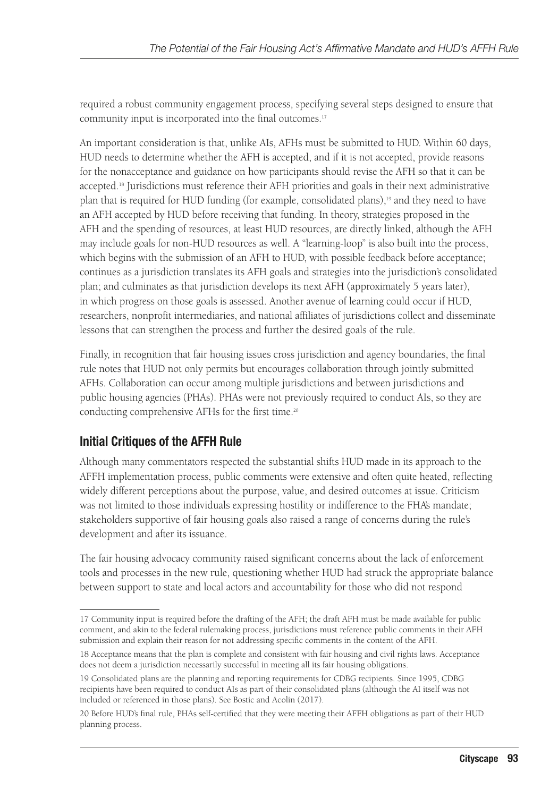required a robust community engagement process, specifying several steps designed to ensure that community input is incorporated into the final outcomes.17

An important consideration is that, unlike AIs, AFHs must be submitted to HUD. Within 60 days, HUD needs to determine whether the AFH is accepted, and if it is not accepted, provide reasons for the nonacceptance and guidance on how participants should revise the AFH so that it can be accepted.18 Jurisdictions must reference their AFH priorities and goals in their next administrative plan that is required for HUD funding (for example, consolidated plans),<sup>19</sup> and they need to have an AFH accepted by HUD before receiving that funding. In theory, strategies proposed in the AFH and the spending of resources, at least HUD resources, are directly linked, although the AFH may include goals for non-HUD resources as well. A "learning-loop" is also built into the process, which begins with the submission of an AFH to HUD, with possible feedback before acceptance; continues as a jurisdiction translates its AFH goals and strategies into the jurisdiction's consolidated plan; and culminates as that jurisdiction develops its next AFH (approximately 5 years later), in which progress on those goals is assessed. Another avenue of learning could occur if HUD, researchers, nonprofit intermediaries, and national affiliates of jurisdictions collect and disseminate lessons that can strengthen the process and further the desired goals of the rule.

Finally, in recognition that fair housing issues cross jurisdiction and agency boundaries, the final rule notes that HUD not only permits but encourages collaboration through jointly submitted AFHs. Collaboration can occur among multiple jurisdictions and between jurisdictions and public housing agencies (PHAs). PHAs were not previously required to conduct AIs, so they are conducting comprehensive AFHs for the first time.<sup>20</sup>

#### Initial Critiques of the AFFH Rule

Although many commentators respected the substantial shifts HUD made in its approach to the AFFH implementation process, public comments were extensive and often quite heated, reflecting widely different perceptions about the purpose, value, and desired outcomes at issue. Criticism was not limited to those individuals expressing hostility or indifference to the FHA's mandate; stakeholders supportive of fair housing goals also raised a range of concerns during the rule's development and after its issuance.

The fair housing advocacy community raised significant concerns about the lack of enforcement tools and processes in the new rule, questioning whether HUD had struck the appropriate balance between support to state and local actors and accountability for those who did not respond

<sup>17</sup> Community input is required before the drafting of the AFH; the draft AFH must be made available for public comment, and akin to the federal rulemaking process, jurisdictions must reference public comments in their AFH submission and explain their reason for not addressing specific comments in the content of the AFH.

<sup>18</sup> Acceptance means that the plan is complete and consistent with fair housing and civil rights laws. Acceptance does not deem a jurisdiction necessarily successful in meeting all its fair housing obligations.

<sup>19</sup> Consolidated plans are the planning and reporting requirements for CDBG recipients. Since 1995, CDBG recipients have been required to conduct AIs as part of their consolidated plans (although the AI itself was not included or referenced in those plans). See Bostic and Acolin (2017).

<sup>20</sup> Before HUD's final rule, PHAs self-certified that they were meeting their AFFH obligations as part of their HUD planning process.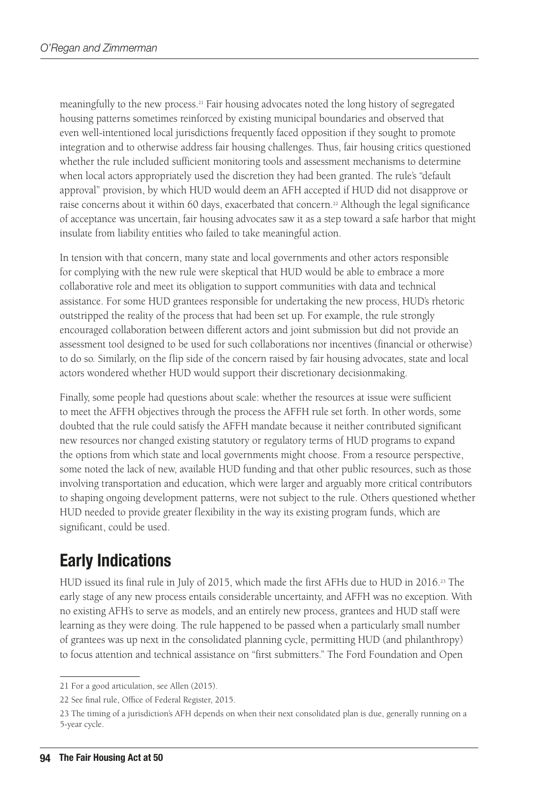meaningfully to the new process.21 Fair housing advocates noted the long history of segregated housing patterns sometimes reinforced by existing municipal boundaries and observed that even well-intentioned local jurisdictions frequently faced opposition if they sought to promote integration and to otherwise address fair housing challenges. Thus, fair housing critics questioned whether the rule included sufficient monitoring tools and assessment mechanisms to determine when local actors appropriately used the discretion they had been granted. The rule's "default approval" provision, by which HUD would deem an AFH accepted if HUD did not disapprove or raise concerns about it within 60 days, exacerbated that concern.<sup>22</sup> Although the legal significance of acceptance was uncertain, fair housing advocates saw it as a step toward a safe harbor that might insulate from liability entities who failed to take meaningful action.

In tension with that concern, many state and local governments and other actors responsible for complying with the new rule were skeptical that HUD would be able to embrace a more collaborative role and meet its obligation to support communities with data and technical assistance. For some HUD grantees responsible for undertaking the new process, HUD's rhetoric outstripped the reality of the process that had been set up. For example, the rule strongly encouraged collaboration between different actors and joint submission but did not provide an assessment tool designed to be used for such collaborations nor incentives (financial or otherwise) to do so. Similarly, on the flip side of the concern raised by fair housing advocates, state and local actors wondered whether HUD would support their discretionary decisionmaking.

Finally, some people had questions about scale: whether the resources at issue were sufficient to meet the AFFH objectives through the process the AFFH rule set forth. In other words, some doubted that the rule could satisfy the AFFH mandate because it neither contributed significant new resources nor changed existing statutory or regulatory terms of HUD programs to expand the options from which state and local governments might choose. From a resource perspective, some noted the lack of new, available HUD funding and that other public resources, such as those involving transportation and education, which were larger and arguably more critical contributors to shaping ongoing development patterns, were not subject to the rule. Others questioned whether HUD needed to provide greater flexibility in the way its existing program funds, which are significant, could be used.

# Early Indications

HUD issued its final rule in July of 2015, which made the first AFHs due to HUD in 2016.23 The early stage of any new process entails considerable uncertainty, and AFFH was no exception. With no existing AFH's to serve as models, and an entirely new process, grantees and HUD staff were learning as they were doing. The rule happened to be passed when a particularly small number of grantees was up next in the consolidated planning cycle, permitting HUD (and philanthropy) to focus attention and technical assistance on "first submitters." The Ford Foundation and Open

<sup>21</sup> For a good articulation, see Allen (2015).

<sup>22</sup> See final rule, Office of Federal Register, 2015.

<sup>23</sup> The timing of a jurisdiction's AFH depends on when their next consolidated plan is due, generally running on a 5-year cycle.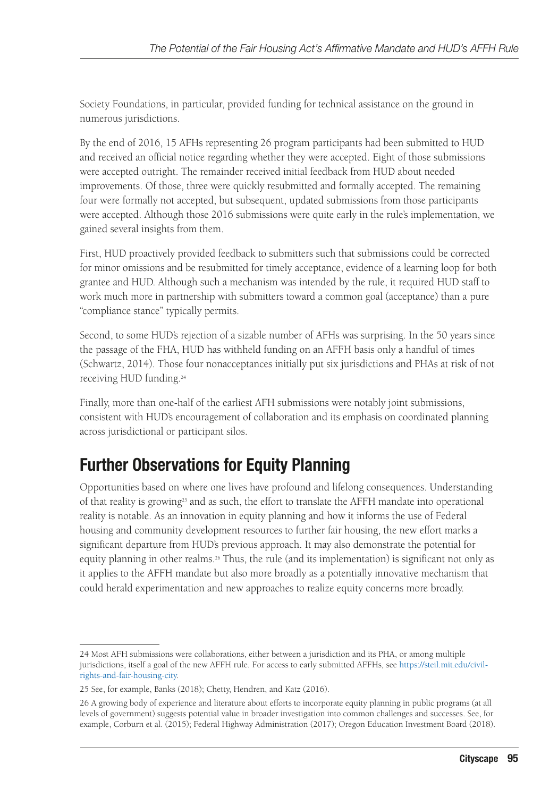Society Foundations, in particular, provided funding for technical assistance on the ground in numerous jurisdictions.

By the end of 2016, 15 AFHs representing 26 program participants had been submitted to HUD and received an official notice regarding whether they were accepted. Eight of those submissions were accepted outright. The remainder received initial feedback from HUD about needed improvements. Of those, three were quickly resubmitted and formally accepted. The remaining four were formally not accepted, but subsequent, updated submissions from those participants were accepted. Although those 2016 submissions were quite early in the rule's implementation, we gained several insights from them.

First, HUD proactively provided feedback to submitters such that submissions could be corrected for minor omissions and be resubmitted for timely acceptance, evidence of a learning loop for both grantee and HUD. Although such a mechanism was intended by the rule, it required HUD staff to work much more in partnership with submitters toward a common goal (acceptance) than a pure "compliance stance" typically permits.

Second, to some HUD's rejection of a sizable number of AFHs was surprising. In the 50 years since the passage of the FHA, HUD has withheld funding on an AFFH basis only a handful of times (Schwartz, 2014). Those four nonacceptances initially put six jurisdictions and PHAs at risk of not receiving HUD funding.24

Finally, more than one-half of the earliest AFH submissions were notably joint submissions, consistent with HUD's encouragement of collaboration and its emphasis on coordinated planning across jurisdictional or participant silos.

# Further Observations for Equity Planning

Opportunities based on where one lives have profound and lifelong consequences. Understanding of that reality is growing<sup>25</sup> and as such, the effort to translate the AFFH mandate into operational reality is notable. As an innovation in equity planning and how it informs the use of Federal housing and community development resources to further fair housing, the new effort marks a significant departure from HUD's previous approach. It may also demonstrate the potential for equity planning in other realms.26 Thus, the rule (and its implementation) is significant not only as it applies to the AFFH mandate but also more broadly as a potentially innovative mechanism that could herald experimentation and new approaches to realize equity concerns more broadly.

<sup>24</sup> Most AFH submissions were collaborations, either between a jurisdiction and its PHA, or among multiple jurisdictions, itself a goal of the new AFFH rule. For access to early submitted AFFHs, see [https://steil.mit.edu/civil](https://steil.mit.edu/civil-rights-and-fair-housing-city)[rights-and-fair-housing-city](https://steil.mit.edu/civil-rights-and-fair-housing-city).

<sup>25</sup> See, for example, Banks (2018); Chetty, Hendren, and Katz (2016).

<sup>26</sup> A growing body of experience and literature about efforts to incorporate equity planning in public programs (at all levels of government) suggests potential value in broader investigation into common challenges and successes. See, for example, Corburn et al. (2015); Federal Highway Administration (2017); Oregon Education Investment Board (2018).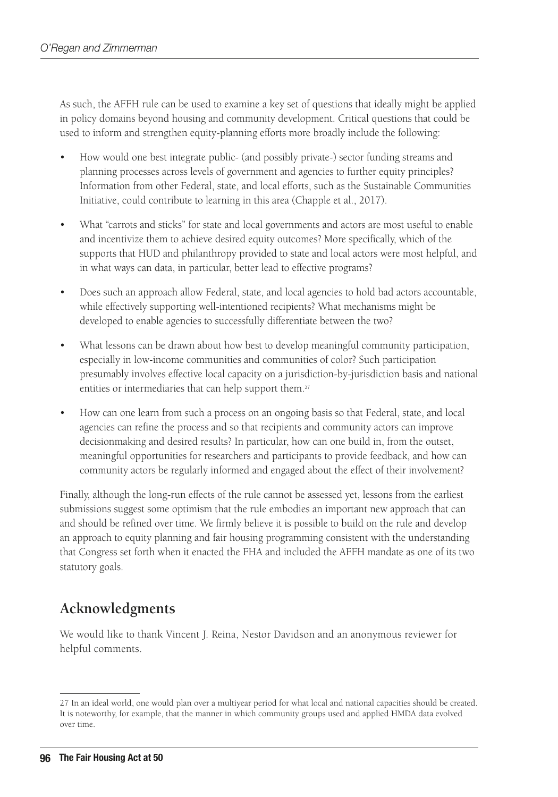As such, the AFFH rule can be used to examine a key set of questions that ideally might be applied in policy domains beyond housing and community development. Critical questions that could be used to inform and strengthen equity-planning efforts more broadly include the following:

- How would one best integrate public- (and possibly private-) sector funding streams and planning processes across levels of government and agencies to further equity principles? Information from other Federal, state, and local efforts, such as the Sustainable Communities Initiative, could contribute to learning in this area (Chapple et al., 2017).
- What "carrots and sticks" for state and local governments and actors are most useful to enable and incentivize them to achieve desired equity outcomes? More specifically, which of the supports that HUD and philanthropy provided to state and local actors were most helpful, and in what ways can data, in particular, better lead to effective programs?
- Does such an approach allow Federal, state, and local agencies to hold bad actors accountable, while effectively supporting well-intentioned recipients? What mechanisms might be developed to enable agencies to successfully differentiate between the two?
- What lessons can be drawn about how best to develop meaningful community participation, especially in low-income communities and communities of color? Such participation presumably involves effective local capacity on a jurisdiction-by-jurisdiction basis and national entities or intermediaries that can help support them.<sup>27</sup>
- How can one learn from such a process on an ongoing basis so that Federal, state, and local agencies can refine the process and so that recipients and community actors can improve decisionmaking and desired results? In particular, how can one build in, from the outset, meaningful opportunities for researchers and participants to provide feedback, and how can community actors be regularly informed and engaged about the effect of their involvement?

Finally, although the long-run effects of the rule cannot be assessed yet, lessons from the earliest submissions suggest some optimism that the rule embodies an important new approach that can and should be refined over time. We firmly believe it is possible to build on the rule and develop an approach to equity planning and fair housing programming consistent with the understanding that Congress set forth when it enacted the FHA and included the AFFH mandate as one of its two statutory goals.

### **Acknowledgments**

We would like to thank Vincent J. Reina, Nestor Davidson and an anonymous reviewer for helpful comments.

<sup>27</sup> In an ideal world, one would plan over a multiyear period for what local and national capacities should be created. It is noteworthy, for example, that the manner in which community groups used and applied HMDA data evolved over time.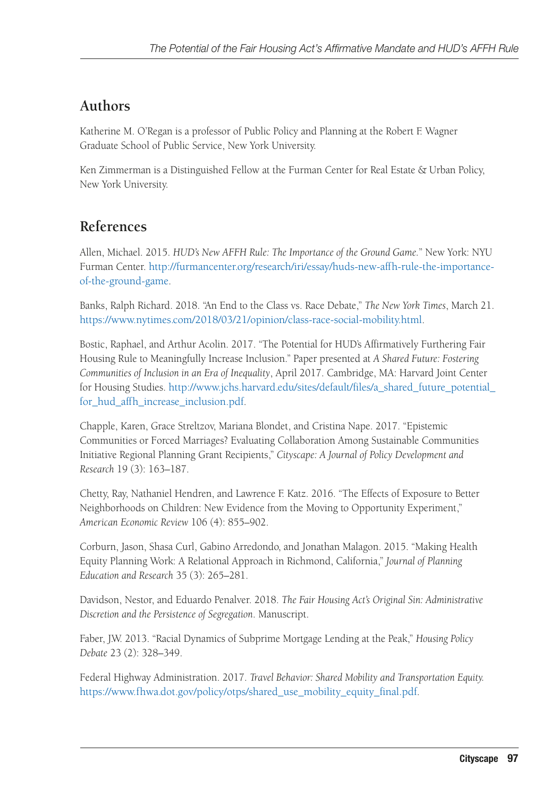### **Authors**

Katherine M. O'Regan is a professor of Public Policy and Planning at the Robert F. Wagner Graduate School of Public Service, New York University.

Ken Zimmerman is a Distinguished Fellow at the Furman Center for Real Estate & Urban Policy, New York University.

#### **References**

Allen, Michael. 2015. *HUD's New AFFH Rule: The Importance of the Ground Game.*" New York: NYU Furman Center. [http://furmancenter.org/research/iri/essay/huds-new-affh-rule-the-importance](http://furmancenter.org/research/iri/essay/huds-new-affh-rule-the-importance-of-the-ground-game)[of-the-ground-game](http://furmancenter.org/research/iri/essay/huds-new-affh-rule-the-importance-of-the-ground-game).

Banks, Ralph Richard. 2018. "An End to the Class vs. Race Debate," *The New York Times*, March 21. <https://www.nytimes.com/2018/03/21/opinion/class-race-social-mobility.html>.

Bostic, Raphael, and Arthur Acolin. 2017. "The Potential for HUD's Affirmatively Furthering Fair Housing Rule to Meaningfully Increase Inclusion." Paper presented at *A Shared Future: Fostering Communities of Inclusion in an Era of Inequality*, April 2017. Cambridge, MA: Harvard Joint Center for Housing Studies. [http://www.jchs.harvard.edu/sites/default/files/a\\_shared\\_future\\_potential\\_](http://www.jchs.harvard.edu/sites/default/files/a_shared_future_potential_for_hud_affh_increase_inclusion.pdf) [for\\_hud\\_affh\\_increase\\_inclusion.pdf](http://www.jchs.harvard.edu/sites/default/files/a_shared_future_potential_for_hud_affh_increase_inclusion.pdf).

Chapple, Karen, Grace Streltzov, Mariana Blondet, and Cristina Nape. 2017. "Epistemic Communities or Forced Marriages? Evaluating Collaboration Among Sustainable Communities Initiative Regional Planning Grant Recipients," *Cityscape: A Journal of Policy Development and Research* 19 (3): 163–187.

Chetty, Ray, Nathaniel Hendren, and Lawrence F. Katz. 2016. "The Effects of Exposure to Better Neighborhoods on Children: New Evidence from the Moving to Opportunity Experiment," *American Economic Review* 106 (4): 855–902.

Corburn, Jason, Shasa Curl, Gabino Arredondo, and Jonathan Malagon. 2015. "Making Health Equity Planning Work: A Relational Approach in Richmond, California," *Journal of Planning Education and Research* 35 (3): 265–281.

Davidson, Nestor, and Eduardo Penalver. 2018. *The Fair Housing Act's Original Sin: Administrative Discretion and the Persistence of Segregation*. Manuscript.

Faber, J.W. 2013. "Racial Dynamics of Subprime Mortgage Lending at the Peak," *Housing Policy Debate* 23 (2): 328–349.

Federal Highway Administration. 2017. *Travel Behavior: Shared Mobility and Transportation Equity.* [https://www.fhwa.dot.gov/policy/otps/shared\\_use\\_mobility\\_equity\\_final.pdf.](https://www.fhwa.dot.gov/policy/otps/shared_use_mobility_equity_final.pdf)